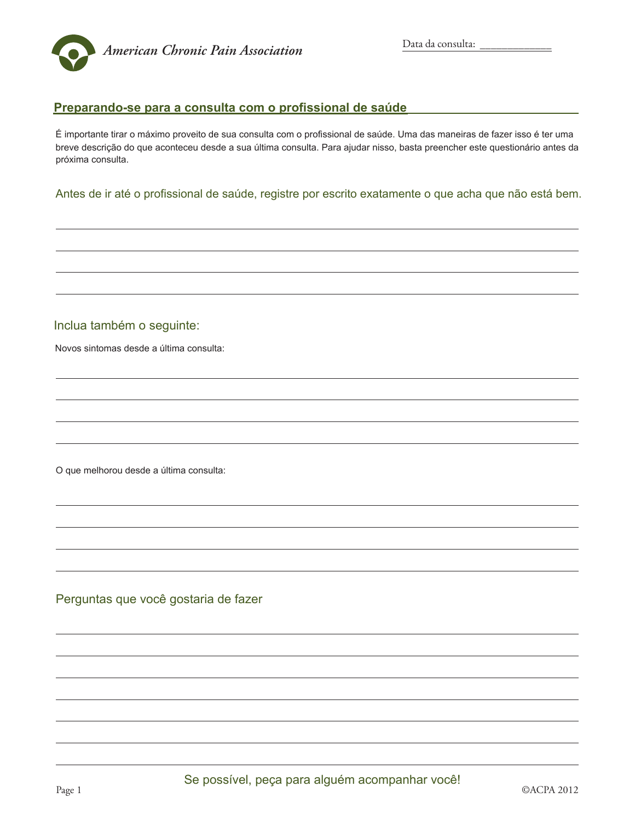

## Preparando-se para a consulta com o profissional de saúde

É importante tirar o máximo proveito de sua consulta com o profissional de saúde. Uma das maneiras de fazer isso é ter uma breve descrição do que aconteceu desde a sua última consulta. Para ajudar nisso, basta preencher este questionário antes da próxima consulta.

Antes de ir até o profissional de saúde, registre por escrito exatamente o que acha que não está bem.

## Inclua também o seguinte:

Novos sintomas desde a última consulta:

O que melhorou desde a última consulta:

Perguntas que você gostaria de fazer